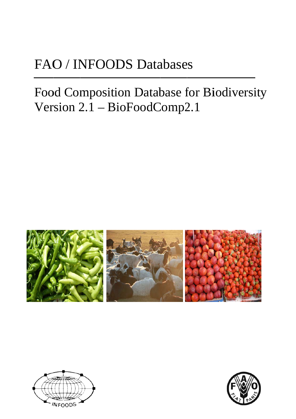# FAO / INFOODS Databases

# Food Composition Database for Biodiversity Version  $2.1 - BioFoodComp2.1$





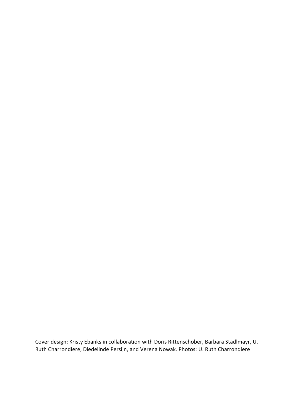Cover design: Kristy Ebanks in collaboration with Doris Rittenschober, Barbara Stadlmayr, U. Ruth Charrondiere, Diedelinde Persijn, and Verena Nowak. Photos: U. Ruth Charrondiere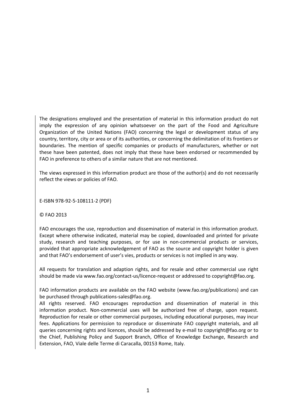The designations employed and the presentation of material in this information product do not imply the expression of any opinion whatsoever on the part of the Food and Agriculture Organization of the United Nations (FAO) concerning the legal or development status of any country, territory, city or area or of its authorities, or concerning the delimitation of its frontiers or boundaries. The mention of specific companies or products of manufacturers, whether or not these have been patented, does not imply that these have been endorsed or recommended by FAO in preference to others of a similar nature that are not mentioned.

The views expressed in this information product are those of the author(s) and do not necessarily reflect the views or policies of FAO.

E‐ISBN 978‐92‐5‐108111‐2 (PDF)

© FAO 2013

FAO encourages the use, reproduction and dissemination of material in this information product. Except where otherwise indicated, material may be copied, downloaded and printed for private study, research and teaching purposes, or for use in non‐commercial products or services, provided that appropriate acknowledgement of FAO as the source and copyright holder is given and that FAO's endorsement of user's vies, products or services is not implied in any way.

All requests for translation and adaption rights, and for resale and other commercial use right should be made via www.fao.org/contact-us/licence-request or addressed to copyright@fao.org.

FAO information products are available on the FAO website (www.fao.org/publications) and can be purchased through publications‐sales@fao.org.

All rights reserved. FAO encourages reproduction and dissemination of material in this information product. Non‐commercial uses will be authorized free of charge, upon request. Reproduction for resale or other commercial purposes, including educational purposes, may incur fees. Applications for permission to reproduce or disseminate FAO copyright materials, and all queries concerning rights and licences, should be addressed by e‐mail to copyright@fao.org or to the Chief, Publishing Policy and Support Branch, Office of Knowledge Exchange, Research and Extension, FAO, Viale delle Terme di Caracalla, 00153 Rome, Italy.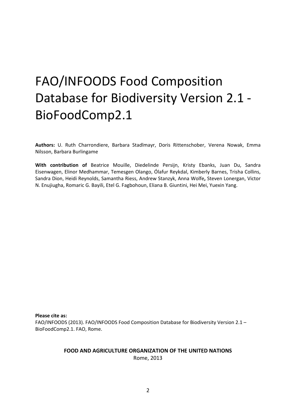# FAO/INFOODS Food Composition Database for Biodiversity Version 2.1 ‐ BioFoodComp2.1

**Authors:** U. Ruth Charrondiere, Barbara Stadlmayr, Doris Rittenschober, Verena Nowak, Emma Nilsson, Barbara Burlingame

**With contribution of** Beatrice Mouille, Diedelinde Persijn, Kristy Ebanks, Juan Du, Sandra Eisenwagen, Elinor Medhammar, Temesgen Olango, Ólafur Reykdal, Kimberly Barnes, Trisha Collins, Sandra Dion, Heidi Reynolds, Samantha Riess, Andrew Stanzyk, Anna Wolfe**,** Steven Lonergan, Victor N. Enujiugha, Romaric G. Bayili, Etel G. Fagbohoun, Eliana B. Giuntini, Hei Mei, Yuexin Yang.

**Please cite as:**

FAO/INFOODS (2013). FAO/INFOODS Food Composition Database for Biodiversity Version 2.1 – BioFoodComp2.1. FAO, Rome.

#### **FOOD AND AGRICULTURE ORGANIZATION OF THE UNITED NATIONS** Rome, 2013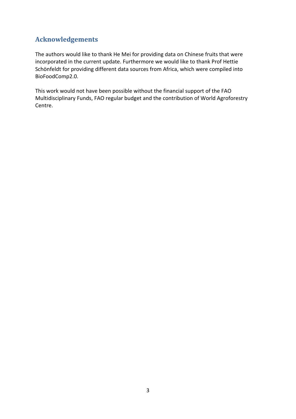## **Acknowledgements**

The authors would like to thank He Mei for providing data on Chinese fruits that were incorporated in the current update. Furthermore we would like to thank Prof Hettie Schönfeldt for providing different data sources from Africa, which were compiled into BioFoodComp2.0.

This work would not have been possible without the financial support of the FAO Multidisciplinary Funds, FAO regular budget and the contribution of World Agroforestry Centre.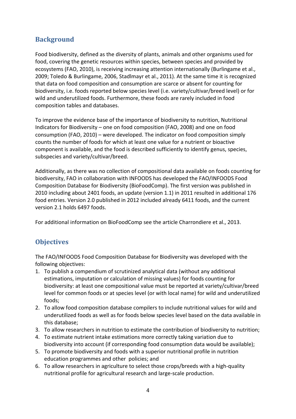## **Background**

Food biodiversity, defined as the diversity of plants, animals and other organisms used for food, covering the genetic resources within species, between species and provided by ecosystems (FAO, 2010), is receiving increasing attention internationally (Burlingame et al., 2009; Toledo & Burlingame, 2006, Stadlmayr et al., 2011). At the same time it is recognized that data on food composition and consumption are scarce or absent for counting for biodiversity, i.e. foods reported below species level (i.e. variety/cultivar/breed level) or for wild and underutilized foods. Furthermore, these foods are rarely included in food composition tables and databases.

To improve the evidence base of the importance of biodiversity to nutrition, Nutritional Indicators for Biodiversity – one on food composition (FAO, 2008) and one on food consumption (FAO, 2010) – were developed. The indicator on food composition simply counts the number of foods for which at least one value for a nutrient or bioactive component is available, and the food is described sufficiently to identify genus, species, subspecies and variety/cultivar/breed.

Additionally, as there was no collection of compositional data available on foods counting for biodiversity, FAO in collaboration with INFOODS has developed the FAO/INFOODS Food Composition Database for Biodiversity (BioFoodComp). The first version was published in 2010 including about 2401 foods, an update (version 1.1) in 2011 resulted in additional 176 food entries. Version 2.0 published in 2012 included already 6411 foods, and the current version 2.1 holds 6497 foods.

For additional information on BioFoodComp see the article Charrondiere et al., 2013.

## **Objectives**

The FAO/INFOODS Food Composition Database for Biodiversity was developed with the following objectives:

- 1. To publish a compendium of scrutinized analytical data (without any additional estimations, imputation or calculation of missing values) for foods counting for biodiversity: at least one compositional value must be reported at variety/cultivar/breed level for common foods or at species level (or with local name) for wild and underutilized foods;
- 2. To allow food composition database compilers to include nutritional values for wild and underutilized foods as well as for foods below species level based on the data available in this database;
- 3. To allow researchers in nutrition to estimate the contribution of biodiversity to nutrition;
- 4. To estimate nutrient intake estimations more correctly taking variation due to biodiversity into account (if corresponding food consumption data would be available);
- 5. To promote biodiversity and foods with a superior nutritional profile in nutrition education programmes and other policies; and
- 6. To allow researchers in agriculture to select those crops/breeds with a high‐quality nutritional profile for agricultural research and large‐scale production.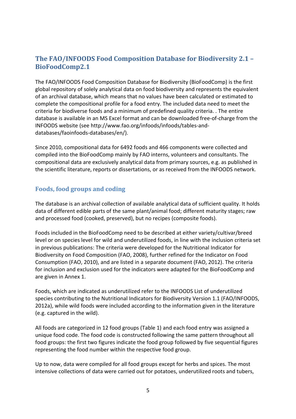## **The FAO/INFOODS Food Composition Database for Biodiversity 2.1 – BioFoodComp2.1**

The FAO/INFOODS Food Composition Database for Biodiversity (BioFoodComp) is the first global repository of solely analytical data on food biodiversity and represents the equivalent of an archival database, which means that no values have been calculated or estimated to complete the compositional profile for a food entry. The included data need to meet the criteria for biodiverse foods and a minimum of predefined quality criteria. . The entire database is available in an MS Excel format and can be downloaded free‐of‐charge from the INFOODS website (see http://www.fao.org/infoods/infoods/tables‐and‐ databases/faoinfoods‐databases/en/).

Since 2010, compositional data for 6492 foods and 466 components were collected and compiled into the BioFoodComp mainly by FAO interns, volunteers and consultants. The compositional data are exclusively analytical data from primary sources, e.g. as published in the scientific literature, reports or dissertations, or as received from the INFOODS network.

## **Foods, food groups and coding**

The database is an archival collection of available analytical data of sufficient quality. It holds data of different edible parts of the same plant/animal food; different maturity stages; raw and processed food (cooked, preserved), but no recipes (composite foods).

Foods included in the BioFoodComp need to be described at either variety/cultivar/breed level or on species level for wild and underutilized foods, in line with the inclusion criteria set in previous publications: The criteria were developed for the Nutritional Indicator for Biodiversity on Food Composition (FAO, 2008), further refined for the Indicator on Food Consumption (FAO, 2010), and are listed in a separate document (FAO, 2012). The criteria for inclusion and exclusion used for the indicators were adapted for the BioFoodComp and are given in Annex 1.

Foods, which are indicated as underutilized refer to the INFOODS List of underutilized species contributing to the Nutritional Indicators for Biodiversity Version 1.1 (FAO/INFOODS, 2012a), while wild foods were included according to the information given in the literature (e.g. captured in the wild).

All foods are categorized in 12 food groups (Table 1) and each food entry was assigned a unique food code. The food code is constructed following the same pattern throughout all food groups: the first two figures indicate the food group followed by five sequential figures representing the food number within the respective food group.

Up to now, data were compiled for all food groups except for herbs and spices. The most intensive collections of data were carried out for potatoes, underutilized roots and tubers,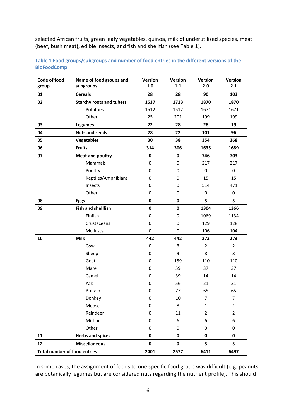selected African fruits, green leafy vegetables, quinoa, milk of underutilized species, meat (beef, bush meat), edible insects, and fish and shellfish (see Table 1).

| Code of food                        | Name of food groups and         | Version          | Version   | Version          | Version        |
|-------------------------------------|---------------------------------|------------------|-----------|------------------|----------------|
| group                               | subgroups                       | $1.0\,$          | 1.1       | 2.0              | 2.1            |
| 01                                  | <b>Cereals</b>                  | 28               | 28        | 90               | 103            |
| 02                                  | <b>Starchy roots and tubers</b> | 1537             | 1713      | 1870             | 1870           |
|                                     | Potatoes                        | 1512             | 1512      | 1671             | 1671           |
|                                     | Other                           | 25               | 201       | 199              | 199            |
| 03                                  | <b>Legumes</b>                  | 22               | 28        | 28               | 19             |
| 04                                  | <b>Nuts and seeds</b>           | 28               | 22        | 101              | 96             |
| 05                                  | <b>Vegetables</b>               | 30               | 38        | 354              | 368            |
| 06                                  | <b>Fruits</b>                   | 314              | 306       | 1635             | 1689           |
| 07                                  | <b>Meat and poultry</b>         | $\pmb{0}$        | 0         | 746              | 703            |
|                                     | Mammals                         | 0                | 0         | 217              | 217            |
|                                     | Poultry                         | 0                | 0         | $\boldsymbol{0}$ | 0              |
|                                     | Reptiles/Amphibians             | 0                | 0         | 15               | 15             |
|                                     | Insects                         | 0                | $\pmb{0}$ | 514              | 471            |
|                                     | Other                           | $\boldsymbol{0}$ | $\pmb{0}$ | $\pmb{0}$        | $\pmb{0}$      |
| 08                                  | <b>Eggs</b>                     | $\pmb{0}$        | 0         | 5                | 5              |
| 09                                  | <b>Fish and shellfish</b>       | $\pmb{0}$        | $\pmb{0}$ | 1304             | 1366           |
|                                     | Finfish                         | 0                | $\pmb{0}$ | 1069             | 1134           |
|                                     | Crustaceans                     | 0                | $\pmb{0}$ | 129              | 128            |
|                                     | Molluscs                        | 0                | 0         | 106              | 104            |
| ${\bf 10}$                          | <b>Milk</b>                     | 442              | 442       | 273              | 273            |
|                                     | Cow                             | $\pmb{0}$        | 8         | $\overline{2}$   | $\overline{2}$ |
|                                     | Sheep                           | 0                | 9         | 8                | 8              |
|                                     | Goat                            | 0                | 159       | 110              | 110            |
|                                     | Mare                            | 0                | 59        | 37               | 37             |
|                                     | Camel                           | 0                | 39        | 14               | 14             |
|                                     | Yak                             | 0                | 56        | 21               | 21             |
|                                     | <b>Buffalo</b>                  | 0                | 77        | 65               | 65             |
|                                     | Donkey                          | $\boldsymbol{0}$ | 10        | 7                | 7              |
|                                     | Moose                           | 0                | 8         | $\mathbf{1}$     | $\mathbf 1$    |
|                                     | Reindeer                        | 0                | 11        | $\overline{2}$   | $\overline{2}$ |
|                                     | Mithun                          | 0                | 6         | 6                | 6              |
|                                     | Other                           | $\pmb{0}$        | 0         | 0                | 0              |
| 11                                  | <b>Herbs and spices</b>         | $\pmb{0}$        | $\pmb{0}$ | $\pmb{0}$        | 0              |
| 12                                  | <b>Miscellaneous</b>            | $\pmb{0}$        | $\pmb{0}$ | 5                | 5              |
| <b>Total number of food entries</b> |                                 | 2401             | 2577      | 6411             | 6497           |

**Table 1 Food groups/subgroups and number of food entries in the different versions of the BioFoodComp**

In some cases, the assignment of foods to one specific food group was difficult (e.g. peanuts are botanically legumes but are considered nuts regarding the nutrient profile). This should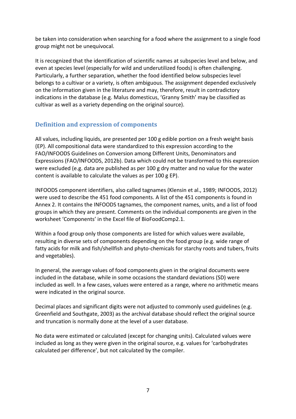be taken into consideration when searching for a food where the assignment to a single food group might not be unequivocal.

It is recognized that the identification of scientific names at subspecies level and below, and even at species level (especially for wild and underutilized foods) is often challenging. Particularly, a further separation, whether the food identified below subspecies level belongs to a cultivar or a variety, is often ambiguous. The assignment depended exclusively on the information given in the literature and may, therefore, result in contradictory indications in the database (e.g. Malus domesticus, 'Granny Smith' may be classified as cultivar as well as a variety depending on the original source).

## **Definition and expression of components**

All values, including liquids, are presented per 100 g edible portion on a fresh weight basis (EP). All compositional data were standardized to this expression according to the FAO/INFOODS Guidelines on Conversion among Different Units, Denominators and Expressions (FAO/INFOODS, 2012b). Data which could not be transformed to this expression were excluded (e.g. data are published as per 100 g dry matter and no value for the water content is available to calculate the values as per 100 g EP).

INFOODS component identifiers, also called tagnames (Klensin et al., 1989; INFOODS, 2012) were used to describe the 451 food components. A list of the 451 components is found in Annex 2. It contains the INFOODS tagnames, the component names, units, and a list of food groups in which they are present. Comments on the individual components are given in the worksheet 'Components' in the Excel file of BioFoodComp2.1.

Within a food group only those components are listed for which values were available, resulting in diverse sets of components depending on the food group (e.g. wide range of fatty acids for milk and fish/shellfish and phyto-chemicals for starchy roots and tubers, fruits and vegetables).

In general, the average values of food components given in the original documents were included in the database, while in some occasions the standard deviations (SD) were included as well. In a few cases, values were entered as a range, where no arithmetic means were indicated in the original source.

Decimal places and significant digits were not adjusted to commonly used guidelines (e.g. Greenfield and Southgate, 2003) as the archival database should reflect the original source and truncation is normally done at the level of a user database.

No data were estimated or calculated (except for changing units). Calculated values were included as long as they were given in the original source, e.g. values for 'carbohydrates calculated per difference', but not calculated by the compiler.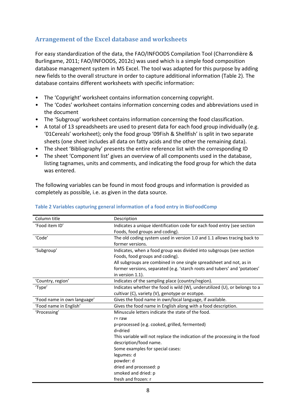## **Arrangement of the Excel database and worksheets**

For easy standardization of the data, the FAO/INFOODS Compilation Tool (Charrondière & Burlingame, 2011; FAO/INFOODS, 2012c) was used which is a simple food composition database management system in MS Excel. The tool was adapted for this purpose by adding new fields to the overall structure in order to capture additional information (Table 2). The database contains different worksheets with specific information:

- The 'Copyright' worksheet contains information concerning copyright.
- The 'Codes' worksheet contains information concerning codes and abbreviations used in the document
- The 'Subgroup' worksheet contains information concerning the food classification.
- A total of 13 spreadsheets are used to present data for each food group individually (e.g. '01Cereals' worksheet); only the food group '09Fish & Shellfish' is split in two separate sheets (one sheet includes all data on fatty acids and the other the remaining data).
- The sheet 'Bibliography' presents the entire reference list with the corresponding ID
- The sheet 'Component list' gives an overview of all components used in the database, listing tagnames, units and comments, and indicating the food group for which the data was entered.

The following variables can be found in most food groups and information is provided as completely as possible, i.e. as given in the data source.

| Column title                | Description                                                                 |  |  |
|-----------------------------|-----------------------------------------------------------------------------|--|--|
| 'Food item ID'              | Indicates a unique identification code for each food entry (see section     |  |  |
|                             | Foods, food groups and coding).                                             |  |  |
| 'Code'                      | The old coding system used in version 1.0 and 1.1 allows tracing back to    |  |  |
|                             | former versions.                                                            |  |  |
| 'Subgroup'                  | Indicates, when a food group was divided into subgroups (see section        |  |  |
|                             | Foods, food groups and coding).                                             |  |  |
|                             | All subgroups are combined in one single spreadsheet and not, as in         |  |  |
|                             | former versions, separated (e.g. 'starch roots and tubers' and 'potatoes'   |  |  |
|                             | in version 1.1).                                                            |  |  |
| 'Country, region'           | Indicates of the sampling place (country/region).                           |  |  |
| 'Type'                      | Indicates whether the food is wild (W), underutilized (U), or belongs to a  |  |  |
|                             | cultivar (C), variety (V), genotype or ecotype.                             |  |  |
| 'Food name in own language' | Gives the food name in own/local language, if available.                    |  |  |
| 'Food name in English'      | Gives the food name in English along with a food description.               |  |  |
| 'Processing'                | Minuscule letters indicate the state of the food.                           |  |  |
|                             | $r = raw$                                                                   |  |  |
|                             | p=processed (e.g. cooked, grilled, fermented)                               |  |  |
|                             | d=dried                                                                     |  |  |
|                             | This variable will not replace the indication of the processing in the food |  |  |
|                             | description/food name.                                                      |  |  |
|                             | Some examples for special cases:                                            |  |  |
|                             | legumes: d                                                                  |  |  |
|                             | powder: d                                                                   |  |  |
|                             | dried and processed: p                                                      |  |  |
|                             | smoked and dried: p                                                         |  |  |
|                             | fresh and frozen: r                                                         |  |  |

#### **Table 2 Variables capturing general information of a food entry in BioFoodComp**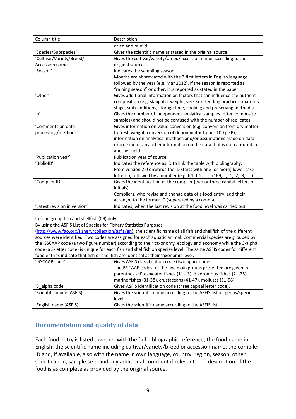| Column title                 | Description                                                                |
|------------------------------|----------------------------------------------------------------------------|
|                              | dried and raw: d                                                           |
| 'Species/Subspecies'         | Gives the scientific name as stated in the original source.                |
| 'Cultivar/Variety/Breed/     | Gives the cultivar/variety/breed/accession name according to the           |
| Accession name'              | original source.                                                           |
| 'Season'                     | Indicates the sampling season.                                             |
|                              | Months are abbreviated with the 3 first letters in English language        |
|                              | followed by the year (e.g. Mar 2012). If the season is reported as         |
|                              | "raining season" or other, it is reported as stated in the paper.          |
| 'Other'                      | Gives additional information on factors that can influence the nutrient    |
|                              | composition (e.g. slaughter weight, size, sex, feeding practices, maturity |
|                              | stage, soil conditions, storage time, cooking and preserving methods).     |
| n'                           | Gives the number of independent analytical samples (often composite        |
|                              | samples) and should not be confused with the number of replicates.         |
| 'Comments on data            | Gives information on value conversion (e.g. conversion from dry matter     |
| processing/methods'          | to fresh weight, conversion of denominator to per 100 g EP),               |
|                              | information on analytical methods and/or assumptions made on data          |
|                              | expression or any other information on the data that is not captured in    |
|                              | another field.                                                             |
| 'Publication year'           | Publication year of source                                                 |
| 'BiblioID'                   | Indicates the reference as ID to link the table with bibliography.         |
|                              | From version 2.0 onwards the ID starts with one (or more) lower case       |
|                              | letter(s), followed by a number (e.g. fr1, fr2, , fr169,; i1, i2, i3, ;).  |
| 'Compiler ID'                | Gives the identification of the compiler (two or three capital letters of  |
|                              | initials).                                                                 |
|                              | Compilers, who revise and change data of a food entry, add their           |
|                              | acronym to the former ID (separated by a comma).                           |
| 'Latest revision in version' | Indicates, when the last revision at the food level was carried out.       |

#### In food group fish and shellfish (09) only:

By using the ASFIS List of Species for Fishery Statistics Purposes

(http://www.fao.org/fishery/collection/asfis/en), the scientific name of all fish and shellfish of the different sources were identified. Two codes are assigned for each aquatic animal: Commercial species are grouped by the ISSCAAP code (a two figure number) according to their taxonomy, ecology and economy while the 3‐alpha code (a 3‐letter code) is unique for each fish and shellfish on species level. The same ASFIS codes for different food entries indicate that fish or shellfish are identical at their taxonomic level.

| 'ISSCAAP code'            | Gives ASFIS classification code (two figure code);<br>The ISSCAAP codes for the five main groups presented are given in<br>parenthesis: Freshwater fishes (11-13), diadromous fishes (21-25),<br>marine fishes (31-38), crustaceans (41-47), molluscs (51-58). |  |  |
|---------------------------|----------------------------------------------------------------------------------------------------------------------------------------------------------------------------------------------------------------------------------------------------------------|--|--|
| '3 alpha code'            | Gives ASFIS identification code (three capital letter code).                                                                                                                                                                                                   |  |  |
| 'Scientific name (ASFIS)' | Gives the scientific name according to the ASFIS list on genus/species<br>level.                                                                                                                                                                               |  |  |
| 'English name (ASFIS)'    | Gives the scientific name according to the ASFIS list.                                                                                                                                                                                                         |  |  |

## **Documentation and quality of data**

Each food entry is listed together with the full bibliographic reference, the food name in English, the scientific name including cultivar/variety/breed or accession name, the compiler ID and, if available, also with the name in own language, country, region, season, other specification, sample size, and any additional comment if relevant. The description of the food is as complete as provided by the original source.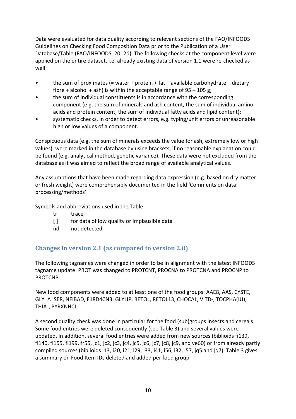Data were evaluated for data quality according to relevant sections of the FAO/INFOODS Guidelines on Checking Food Composition Data prior to the Publication of a User Database/Table (FAO/INFOODS, 2012d). The following checks at the component level were applied on the entire dataset, i.e. already existing data of version 1.1 were re‐checked as well:

- the sum of proximates (= water + protein + fat + available carbohydrate + dietary fibre + alcohol + ash) is within the acceptable range of  $95 - 105$  g;
- the sum of individual constituents is in accordance with the corresponding component (e.g. the sum of minerals and ash content, the sum of individual amino acids and protein content, the sum of individual fatty acids and lipid content);
- systematic checks, in order to detect errors, e.g. typing/unit errors or unreasonable high or low values of a component.

Conspicuous data (e.g. the sum of minerals exceeds the value for ash, extremely low or high values), were marked in the database by using brackets, if no reasonable explanation could be found (e.g. analytical method, genetic variance). These data were not excluded from the database as it was aimed to reflect the broad range of available analytical values.

Any assumptions that have been made regarding data expression (e.g. based on dry matter or fresh weight) were comprehensibly documented in the field 'Comments on data processing/methods'.

Symbols and abbreviations used in the Table:

- tr trace
- [ ] for data of low quality or implausible data
- nd not detected

## **Changes in version 2.1 (as compared to version 2.0)**

The following tagnames were changed in order to be in alignment with the latest INFOODS tagname update: PROT was changed to PROTCNT, PROCNA to PROTCNA and PROCNP to PROTCNP.

New food components were added to at least one of the food groups: AAE8, AAS, CYSTE, GLY A SER, NFIBAD, F18D4CN3, GLYLIP, RETOL, RETOL13, CHOCAL, VITD-, TOCPHA(IU), THIA‐, PYRXNHCL.

A second quality check was done in particular for the food (sub)groups insects and cereals. Some food entries were deleted consequently (see Table 3) and several values were updated. In addition, several food entries were added from new sources (biblioids fi139, fi140, fi155, fi199, fr55, jc1, jc2, jc3, jc4, jc5, jc6, jc7, jc8, jc9, and ve60) or from already partly compiled sources (biblioids i13, i20, i21, i29, i33, i41, i56, i32, i57, jq5 and jq7). Table 3 gives a summary on Food Item IDs deleted and added per food group.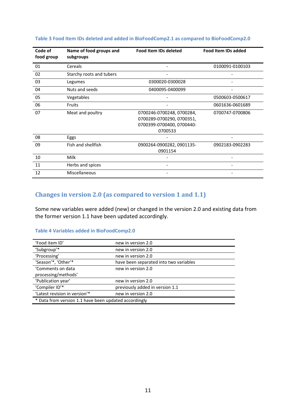| Code of<br>food group | Name of food groups and<br>subgroups | <b>Food Item IDs deleted</b> | <b>Food Item IDs added</b> |
|-----------------------|--------------------------------------|------------------------------|----------------------------|
| 01                    | Cereals                              |                              | 0100091-0100103            |
| 02                    | Starchy roots and tubers             |                              |                            |
| 03                    | Legumes                              | 0300020-0300028              |                            |
| 04                    | Nuts and seeds                       | 0400095-0400099              |                            |
| 05                    | Vegetables                           |                              | 0500603-0500617            |
| 06                    | Fruits                               |                              | 0601636-0601689            |
| 07                    | Meat and poultry                     | 0700246-0700248, 0700284,    | 0700747-0700806            |
|                       |                                      | 0700289-0700290, 0700351,    |                            |
|                       |                                      | 0700399-0700400, 0700440-    |                            |
|                       |                                      | 0700533                      |                            |
| 08                    | Eggs                                 |                              |                            |
| 09                    | Fish and shellfish                   | 0900264-0900282, 0901135-    | 0902183-0902283            |
|                       |                                      | 0901154                      |                            |
| 10                    | Milk                                 |                              |                            |
| 11                    | Herbs and spices                     |                              |                            |
| 12                    | Miscellaneous                        |                              |                            |

#### **Table 3 Food Item IDs deleted and added in BioFoodComp2.1 as compared to BioFoodComp2.0**

### **Changes in version 2.0 (as compared to version 1 and 1.1)**

Some new variables were added (new) or changed in the version 2.0 and existing data from the former version 1.1 have been updated accordingly.

#### **Table 4 Variables added in BioFoodComp2.0**

| 'Food item ID'                                        | new in version 2.0                     |  |  |
|-------------------------------------------------------|----------------------------------------|--|--|
| 'Subgroup'*                                           | new in version 2.0                     |  |  |
| 'Processing'                                          | new in version 2.0                     |  |  |
| 'Season'*, 'Other'*                                   | have been separated into two variables |  |  |
| 'Comments on data                                     | new in version 2.0                     |  |  |
| processing/methods'                                   |                                        |  |  |
| 'Publication year'                                    | new in version 2.0                     |  |  |
| 'Compiler ID'*                                        | previously added in version 1.1        |  |  |
| 'Latest revision in version'*                         | new in version 2.0                     |  |  |
| * Data from version 1.1 have been updated accordingly |                                        |  |  |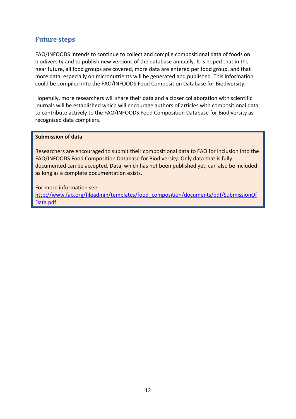## **Future steps**

FAO/INFOODS intends to continue to collect and compile compositional data of foods on biodiversity and to publish new versions of the database annually. It is hoped that in the near future, all food groups are covered, more data are entered per food group, and that more data, especially on micronutrients will be generated and published. This information could be compiled into the FAO/INFOODS Food Composition Database for Biodiversity.

Hopefully, more researchers will share their data and a closer collaboration with scientific journals will be established which will encourage authors of articles with compositional data to contribute actively to the FAO/INFOODS Food Composition Database for Biodiversity as recognized data compilers.

#### **Submission of data**

Researchers are encouraged to submit their compositional data to FAO for inclusion into the FAO/INFOODS Food Composition Database for Biodiversity. Only data that is fully documented can be accepted. Data, which has not been published yet, can also be included as long as a complete documentation exists.

For more information see http://www.fao.org/fileadmin/templates/food\_composition/documents/pdf/SubmissionOf Data.pdf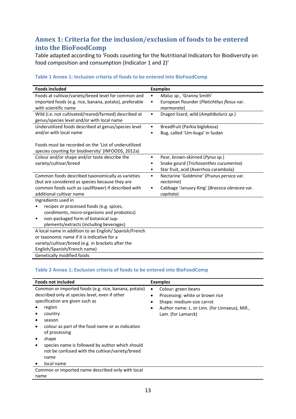## **Annex 1: Criteria for the inclusion/exclusion of foods to be entered into the BioFoodComp**

Table adapted according to 'Foods counting for the Nutritional Indicators for Biodiversity on food composition and consumption (Indicator 1 and 2)'

| <b>Foods included</b>                                                                                                                                                                                 | <b>Examples</b>                                                                                                              |
|-------------------------------------------------------------------------------------------------------------------------------------------------------------------------------------------------------|------------------------------------------------------------------------------------------------------------------------------|
| Foods at cultivar/variety/breed level for common and<br>imported foods (e.g. rice, banana, potato), preferable<br>with scientific name                                                                | Malus sp., 'Granny Smith'<br>$\bullet$<br>European flounder (Platichthys flesus var.<br>$\bullet$<br>marmorata)              |
| Wild (i.e. not cultivated/reared/farmed) described at<br>genus/species level and/or with local name                                                                                                   | Dragon lizard, wild (Amphiboluris sp.)<br>$\bullet$                                                                          |
| Underutilized foods described at genus/species level<br>and/or with local name                                                                                                                        | Breadfruit (Parkia biglobosa)<br>$\bullet$<br>Bug, called 'Um-buga' in Sudan<br>٠                                            |
| Foods must be recorded on the 'List of underutilized<br>species counting for biodiversity' (INFOODS, 2012a)                                                                                           |                                                                                                                              |
| Colour and/or shape and/or taste describe the<br>variety/cultivar/breed                                                                                                                               | Pear, brown-skinned (Pyrus sp.)<br>٠<br>Snake gourd (Trichosanthes cucumerina)<br>Star fruit, acid (Averrhoa carambola)<br>٠ |
| Common foods described taxonomically as varieties<br>(but are considered as species because they are<br>common foods such as cauliflower) if described with                                           | Nectarine 'Goldmine' (Prunus persica var.<br>$\bullet$<br>nectarine)<br>Cabbage 'January King' (Brassica oleracea var.<br>٠  |
| Ingredients used in<br>recipes or processed foods (e.g. spices,<br>condiments, micro-organisms and probiotics)<br>non-packaged form of botanical sup-<br>٠<br>plements/extracts (including beverages) |                                                                                                                              |
| A local name in addition to an English/Spanish/French<br>or taxonomic name if it is indicative for a<br>variety/cultivar/breed (e.g. in brackets after the<br>English/Spanish/French name)            |                                                                                                                              |
| additional cultivar name<br>Genetically modified foods                                                                                                                                                | capitata)                                                                                                                    |

#### **Table 1 Annex 1: Inclusion criteria of foods to be entered into BioFoodComp**

#### **Table 2 Annex 1: Exclusion criteria of foods to be entered into BioFoodComp**

| <b>Foods not included</b>                                                                                                                                                                                                                                                                                                                                                          | <b>Examples</b>                                                                                                                                                                                     |  |  |
|------------------------------------------------------------------------------------------------------------------------------------------------------------------------------------------------------------------------------------------------------------------------------------------------------------------------------------------------------------------------------------|-----------------------------------------------------------------------------------------------------------------------------------------------------------------------------------------------------|--|--|
| Common or imported foods (e.g. rice, banana, potato)<br>described only at species level, even if other<br>specification are given such as<br>region<br>country<br>season<br>colour as part of the food name or as indication<br>of processing<br>shape<br>species name is followed by author which should<br>not be confused with the cultivar/variety/breed<br>name<br>local name | Colour: green beans<br>$\bullet$<br>Processing: white or brown rice<br>Shape: medium-size carrot<br>$\bullet$<br>Author name: L. or Linn. (for Linnaeus), Mill.,<br>$\bullet$<br>Lam. (for Lamarck) |  |  |
| Common or imported name described only with local<br>name                                                                                                                                                                                                                                                                                                                          |                                                                                                                                                                                                     |  |  |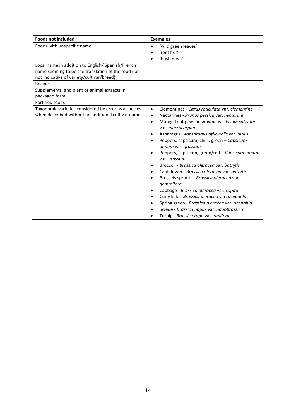| <b>Foods not included</b>                            | <b>Examples</b>                                               |  |  |
|------------------------------------------------------|---------------------------------------------------------------|--|--|
| Foods with unspecific name                           | 'wild green leaves'<br>$\bullet$                              |  |  |
|                                                      | 'reef fish'                                                   |  |  |
|                                                      | 'bush meat'                                                   |  |  |
| Local name in addition to English/Spanish/French     |                                                               |  |  |
| name seeming to be the translation of the food (i.e. |                                                               |  |  |
| not indicative of variety/cultivar/breed)            |                                                               |  |  |
| Recipes                                              |                                                               |  |  |
| Supplements, and plant or animal extracts in         |                                                               |  |  |
| packaged form                                        |                                                               |  |  |
| <b>Fortified foods</b>                               |                                                               |  |  |
| Taxonomic varieties considered by error as a species | Clementines - Citrus reticulata var. clementine<br>$\bullet$  |  |  |
| when described without an additional cultivar name   | Nectarines - Prunus persica var. nectarine                    |  |  |
|                                                      | Mange-tout peas or snowpeas - Pisum sativum<br>٠              |  |  |
|                                                      | var. macrocarpum                                              |  |  |
|                                                      | Asparagus - Aspsaragus officinalis var. altilis               |  |  |
|                                                      | Peppers, capsicum, chilli, green - Capsicum                   |  |  |
|                                                      | annum var. grossum                                            |  |  |
|                                                      | Peppers, capsicum, grenn/red - Capsicum annum<br>var. grossum |  |  |
|                                                      | Broccoli - Brassica oleracea var. botrytis                    |  |  |
|                                                      | Cauliflower - Brassica oleracea var. botrytis                 |  |  |
|                                                      | Brussels sprouts - Brassica oleracea var.<br>gemmifera        |  |  |
|                                                      | Cabbage - Brassica oleracea var. capita                       |  |  |
|                                                      | Curly kale - Brassica oleracea var. acepahla                  |  |  |
|                                                      | Spring green - Brassica oleracea var. acepahla                |  |  |
|                                                      | Swede - Brassica napus var. napobrassica                      |  |  |
|                                                      | Turnip - Brassica rapa var. rapifera                          |  |  |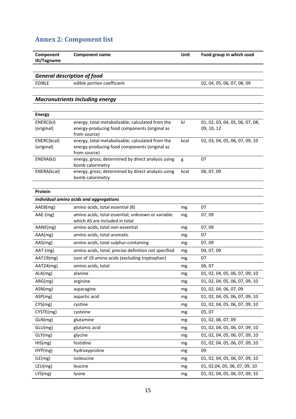# **Annex 2: Component list**

| Component<br>ID/Tagname | Component name | Unit | Food group in which used |
|-------------------------|----------------|------|--------------------------|
|                         |                |      |                          |

*General description of food*

EDIBLE edible portion coefficient 02, 04, 05, 06, 07, 08, 09

## *Macronutrients including energy*

| <b>Energy</b> |                                                    |      |                                 |
|---------------|----------------------------------------------------|------|---------------------------------|
| ENERC(kJ)     | energy, total metabolizable; calculated from the   | kJ   | 01, 02, 03, 04, 05, 06, 07, 08, |
| (original)    | energy-producing food components (original as      |      | 09, 10, 12                      |
|               | from source)                                       |      |                                 |
| ENERC(kcal)   | energy, total metabolizable; calculated from the   | kcal | 02, 03, 04, 05, 06, 07, 09, 10  |
| (original)    | energy-producing food components (original as      |      |                                 |
|               | from source)                                       |      |                                 |
| ENERA(kJ)     | energy, gross; determined by direct analysis using | g    | 07                              |
|               | bomb calorimetry                                   |      |                                 |
| ENERA(kcal)   | energy, gross; determined by direct analysis using | kcal | 06, 07, 09                      |
|               | bomb calorimetry                                   |      |                                 |

| Protein    |                                                      |    |                                |
|------------|------------------------------------------------------|----|--------------------------------|
|            | Individual amino acids and aggregations              |    |                                |
| AAE8(mg)   | amino acids, total essential (8)                     | mg | 07                             |
| $AAE-(mg)$ | amino acids, total essential; unknown or variable    | mg | 07,09                          |
|            | which AS are included in total                       |    |                                |
| AANE(mg)   | amino acids, total non-essential                     | mg | 07,09                          |
| AAA(mg)    | amino acids, total aromatic                          | mg | 07                             |
| AAS(mg)    | amino acids, total sulphur-containing                | mg | 07,09                          |
| $AAT-(mg)$ | amino acids, total; precise definition not specified | mg | 04, 07, 09                     |
| AAT19(mg)  | sum of 19 amino acids (excluding tryptophan)         | mg | 07                             |
| AAT24(mg)  | amino acids, total                                   | mg | 06,07                          |
| ALA(mg)    | alanine                                              | mg | 01, 02, 04, 05, 06, 07, 09, 10 |
| ARG(mg)    | arginine                                             | mg | 01, 02, 04, 05, 06, 07, 09, 10 |
| ASN(mg)    | asparagine                                           | mg | 01, 02, 04, 06, 07, 09         |
| ASP(mg)    | aspartic acid                                        | mg | 01, 02, 04, 05, 06, 07, 09, 10 |
| CYS(mg)    | cystine                                              | mg | 01, 02, 04, 05, 06, 07, 09, 10 |
| CYSTE(mg)  | cysteine                                             | mg | 05, 07                         |
| GLN(mg)    | glutamine                                            | mg | 01, 02, 06, 07, 09             |
| GLU(mg)    | glutamic acid                                        | mg | 01, 02, 04, 05, 06, 07, 09, 10 |
| GLY(mg)    | glycine                                              | mg | 01, 02, 04, 05, 06, 07, 09, 10 |
| HIS(mg)    | histidine                                            | mg | 01, 02, 04, 05, 06, 07, 09, 10 |
| HYP(mg)    | hydroxyproline                                       | mg | 09                             |
| ILE(mg)    | isoleucine                                           | mg | 01, 02, 04, 05, 06, 07, 09, 10 |
| LEU(mg)    | leucine                                              | mg | 01, 02,04, 05, 06, 07, 09, 10  |
| LYS(mg)    | lysine                                               | mg | 01, 02, 04, 05, 06, 07, 09, 10 |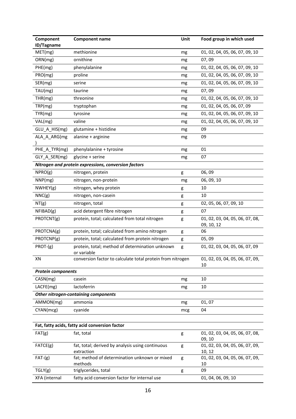| Component<br>ID/Tagname   | <b>Component name</b>                                          | Unit | Food group in which used                      |
|---------------------------|----------------------------------------------------------------|------|-----------------------------------------------|
| MET(mg)                   | methionine                                                     | mg   | 01, 02, 04, 05, 06, 07, 09, 10                |
| ORN(mg)                   | ornithine                                                      | mg   | 07,09                                         |
| PHE(mg)                   | phenylalanine                                                  | mg   | 01, 02, 04, 05, 06, 07, 09, 10                |
| PRO(mg)                   | proline                                                        | mg   | 01, 02, 04, 05, 06, 07, 09, 10                |
| SER(mg)                   | serine                                                         | mg   | 01, 02, 04, 05, 06, 07, 09, 10                |
| TAU(mg)                   | taurine                                                        | mg   | 07,09                                         |
| THR(mg)                   | threonine                                                      | mg   | 01, 02, 04, 05, 06, 07, 09, 10                |
| TRP(mg)                   | tryptophan                                                     | mg   | 01, 02, 04, 05, 06, 07, 09                    |
| TYR(mg)                   | tyrosine                                                       | mg   | 01, 02, 04, 05, 06, 07, 09, 10                |
| VAL(mg)                   | valine                                                         | mg   | 01, 02, 04, 05, 06, 07, 09, 10                |
| GLU_A_HIS(mg)             | glutamine + histidine                                          | mg   | 09                                            |
| ALA_A_ARG(mg              | alanine + arginine                                             | mg   | 09                                            |
|                           |                                                                |      |                                               |
| PHE_A_TYR(mg)             | phenylalanine + tyrosine                                       | mg   | 01                                            |
| GLY_A_SER(mg)             | glycine + serine                                               | mg   | 07                                            |
|                           | Nitrogen and protein expressions, conversion factors           |      |                                               |
| NPRO(g)                   | nitrogen, protein                                              | g    | 06,09                                         |
| NNP(mg)                   | nitrogen, non-protein                                          | mg   | 06, 09, 10                                    |
| NWHEY(g)                  | nitrogen, whey protein                                         | g    | 10                                            |
| NNC(g)                    | nitrogen, non-casein                                           | g    | 10                                            |
| NT(g)                     | nitrogen, total                                                | g    | 02, 05, 06, 07, 09, 10                        |
| NFIBAD(g)                 | acid detergent fibre nitrogen                                  | g    | 07                                            |
| PROTCNT(g)                | protein, total; calculated from total nitrogen                 | g    | 01, 02, 03, 04, 05, 06, 07, 08,<br>09, 10, 12 |
| PROTCNA(g)                | protein, total; calculated from amino nitrogen                 | g    | 06                                            |
| PROTCNP(g)                | protein, total; calculated from protein nitrogen               | g    | 05,09                                         |
| PROT-(g)                  | protein, total; method of determination unknown<br>or variable | g    | 01, 02, 03, 04, 05, 06, 07, 09                |
| ΧN                        | conversion factor to calculate total protein from nitrogen     |      | 01, 02, 03, 04, 05, 06, 07, 09,<br>10         |
| <b>Protein components</b> |                                                                |      |                                               |
| CASN(mg)                  | casein                                                         | mg   | 10                                            |
| LACFE(mg)                 | lactoferrin                                                    | mg   | 10                                            |
|                           | Other nitrogen-containing components                           |      |                                               |
| AMMON(mg)                 | ammonia                                                        | mg   | 01,07                                         |
| CYAN(mcg)                 | cyanide                                                        | mcg  | 04                                            |
|                           |                                                                |      |                                               |
|                           | Fat, fatty acids, fatty acid conversion factor                 |      |                                               |
| FAT(g)                    | fat, total                                                     | g    | 01, 02, 03, 04, 05, 06, 07, 08,<br>09, 10     |
| FATCE(g)                  | fat, total; derived by analysis using continuous<br>extraction | g    | 01, 02, 03, 04, 05, 06, 07, 09,<br>10, 12     |
| $FAT-(g)$                 | fat; method of determination unknown or mixed<br>methods       | g    | 01, 02, 03, 04, 05, 06, 07, 09,<br>10         |
| TGLY(g)                   | triglycerides, total                                           | g    | 09                                            |
| XFA (internal             | fatty acid conversion factor for internal use                  |      | 01, 04, 06, 09, 10                            |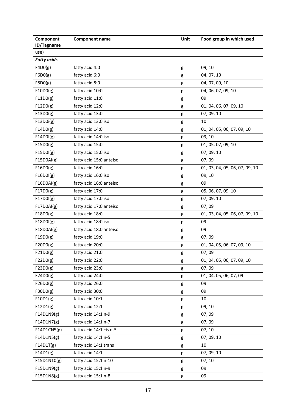| Component          | <b>Component name</b>              | Unit   | Food group in which used       |
|--------------------|------------------------------------|--------|--------------------------------|
| ID/Tagname<br>use) |                                    |        |                                |
| <b>Fatty acids</b> |                                    |        |                                |
| F4D0(g)            | fatty acid 4:0                     | g      | 09, 10                         |
| F6D0(g)            | fatty acid 6:0                     | g      | 04, 07, 10                     |
| F8D0(g)            | fatty acid 8:0                     | g      | 04, 07, 09, 10                 |
| F10D0(g)           | fatty acid 10:0                    | g      | 04, 06, 07, 09, 10             |
| F11D0(g)           | fatty acid 11:0                    | g      | 09                             |
| F12D0(g)           | fatty acid 12:0                    | g      | 01, 04, 06, 07, 09, 10         |
| F13D0(g)           | fatty acid 13:0                    | g      | 07, 09, 10                     |
| F13D0i(g)          | fatty acid 13:0 iso                | g      | 10                             |
| F14D0(g)           | fatty acid 14:0                    | g      | 01, 04, 05, 06, 07, 09, 10     |
| F14D0I(g)          | fatty acid 14:0 iso                | g      | 09, 10                         |
| F15D0(g)           | fatty acid 15:0                    | g      | 01, 05, 07, 09, 10             |
| F15D0I(g)          | fatty acid 15:0 iso                | g      | 07, 09, 10                     |
| F15D0Al(g)         | fatty acid 15:0 anteiso            | g      | 07,09                          |
| F16D0(g)           | fatty acid 16:0                    |        | 01, 03, 04, 05, 06, 07, 09, 10 |
| F16D0I(g)          | fatty acid 16:0 iso                | g      | 09, 10                         |
| F16D0Al(g)         | fatty acid 16:0 anteiso            | g<br>g | 09                             |
| F17D0(g)           | fatty acid 17:0                    | g      | 05, 06, 07, 09, 10             |
| F17D0I(g)          | fatty acid 17:0 iso                |        | 07, 09, 10                     |
| F17D0Al(g)         | fatty acid 17:0 anteiso            | g      | 07,09                          |
| F18D0(g)           | fatty acid 18:0                    | g      | 01, 03, 04, 05, 06, 07, 09, 10 |
| F18D0I(g)          | fatty acid 18:0 iso                | g<br>g | 09                             |
| F18D0Al(g)         | fatty acid 18:0 anteiso            |        | 09                             |
| F19D0(g)           | fatty acid 19:0                    | g      | 07,09                          |
| F20D0(g)           | fatty acid 20:0                    | g      | 01, 04, 05, 06, 07, 09, 10     |
| F21D0(g)           | fatty acid 21:0                    | g      | 07,09                          |
|                    |                                    | g      |                                |
| F22D0(g)           | fatty acid 22:0<br>fatty acid 23:0 | g      | 01, 04, 05, 06, 07, 09, 10     |
| F23D0(g)           |                                    | g      | 07,09                          |
| F24D0(g)           | fatty acid 24:0                    | g      | 01, 04, 05, 06, 07, 09         |
| F26D0(g)           | fatty acid 26:0                    | g      | 09                             |
| F30D0(g)           | fatty acid 30:0                    | g      | 09                             |
| F10D1(g)           | fatty acid 10:1                    | g      | 10                             |
| F12D1(g)           | fatty acid 12:1                    | g      | 09, 10                         |
| F14D1N9(g)         | fatty acid 14:1 n-9                | g      | 07,09                          |
| F14D1N7(g)         | fatty acid 14:1 n-7                | g      | 07,09                          |
| F14D1CN5(g)        | fatty acid 14:1 cis n-5            | g      | 07, 10                         |
| F14D1N5(g)         | fatty acid 14:1 n-5                | g      | 07, 09, 10                     |
| F14D1T(g)          | fatty acid 14:1 trans              | g      | 10                             |
| F14D1(g)           | fatty acid 14:1                    | g      | 07, 09, 10                     |
| F15D1N10(g)        | fatty acid 15:1 n-10               | g      | 07, 10                         |
| F15D1N9(g)         | fatty acid 15:1 n-9                | g      | 09                             |
| F15D1N8(g)         | fatty acid 15:1 n-8                | g      | 09                             |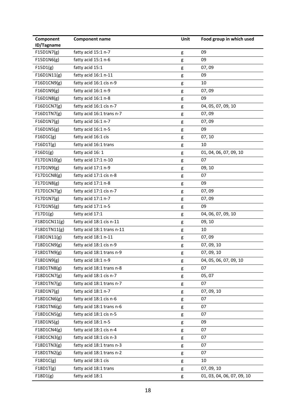| Component<br>ID/Tagname | <b>Component name</b>      | Unit | Food group in which used   |
|-------------------------|----------------------------|------|----------------------------|
| F15D1N7(g)              | fatty acid 15:1 n-7        | g    | 09                         |
| F15D1N6(g)              | fatty acid 15:1 n-6        | g    | 09                         |
| F15D1(g)                | fatty acid 15:1            | g    | 07,09                      |
| F16D1N11(g)             | fatty acid 16:1 n-11       | g    | 09                         |
| F16D1CN9(g)             | fatty acid 16:1 cis n-9    | g    | 10                         |
| F16D1N9(g)              | fatty acid 16:1 n-9        | g    | 07,09                      |
| F16D1N8(g)              | fatty acid 16:1 n-8        | g    | 09                         |
| F16D1CN7(g)             | fatty acid 16:1 cis n-7    | g    | 04, 05, 07, 09, 10         |
| F16D1TN7(g)             | fatty acid 16:1 trans n-7  | g    | 07,09                      |
| F16D1N7(g)              | fatty acid 16:1 n-7        | g    | 07,09                      |
| F16D1N5(g)              | fatty acid 16:1 n-5        | g    | 09                         |
| F16D1C(g)               | fatty acid 16:1 cis        | g    | 07, 10                     |
| F16D1T(g)               | fatty acid 16:1 trans      | g    | 10                         |
| F16D1(g)                | fatty acid 16: 1           | g    | 01, 04, 06, 07, 09, 10     |
| F17D1N10(g)             | fatty acid 17:1 n-10       | g    | 07                         |
| F17D1N9(g)              | fatty acid 17:1 n-9        | g    | 09, 10                     |
| F17D1CN8(g)             | fatty acid 17:1 cis n-8    | g    | 07                         |
| F17D1N8(g)              | fatty acid 17:1 n-8        | g    | 09                         |
| F17D1CN7(g)             | fatty acid 17:1 cis n-7    | g    | 07,09                      |
| F17D1N7(g)              | fatty acid 17:1 n-7        | g    | 07,09                      |
| F17D1N5(g)              | fatty acid 17:1 n-5        | g    | 09                         |
| F17D1(g)                | fatty acid 17:1            | g    | 04, 06, 07, 09, 10         |
| F18D1CN11(g)            | fatty acid 18:1 cis n-11   | g    | 09, 10                     |
| F18D1TN11(g)            | fatty acid 18:1 trans n-11 | g    | 10                         |
| F18D1N11(g)             | fatty acid 18:1 n-11       | g    | 07,09                      |
| F18D1CN9(g)             | fatty acid 18:1 cis n-9    | g    | 07, 09, 10                 |
| F18D1TN9(g)             | fatty acid 18:1 trans n-9  | g    | 07, 09, 10                 |
| F18D1N9(g)              | fatty acid 18:1 n-9        | g    | 04, 05, 06, 07, 09, 10     |
| F18D1TN8(g)             | fatty acid 18:1 trans n-8  | g    | 07                         |
| F18D1CN7(g)             | fatty acid 18:1 cis n-7    | g    | 05, 07                     |
| F18D1TN7(g)             | fatty acid 18:1 trans n-7  | g    | 07                         |
| F18D1N7(g)              | fatty acid 18:1 n-7        | g    | 07, 09, 10                 |
| F18D1CN6(g)             | fatty acid 18:1 cis n-6    | g    | 07                         |
| F18D1TN6(g)             | fatty acid 18:1 trans n-6  | g    | 07                         |
| F18D1CN5(g)             | fatty acid 18:1 cis n-5    | g    | 07                         |
| F18D1N5(g)              | fatty acid 18:1 n-5        | g    | 09                         |
| F18D1CN4(g)             | fatty acid 18:1 cis n-4    | g    | 07                         |
| F18D1CN3(g)             | fatty acid 18:1 cis n-3    | g    | 07                         |
| F18D1TN3(g)             | fatty acid 18:1 trans n-3  | g    | 07                         |
| F18D1TN2(g)             | fatty acid 18:1 trans n-2  | g    | 07                         |
| F18D1C(g)               | fatty acid 18:1 cis        | g    | 10                         |
| F18D1T(g)               | fatty acid 18:1 trans      | g    | 07, 09, 10                 |
| F18D1(g)                | fatty acid 18:1            | g    | 01, 03, 04, 06, 07, 09, 10 |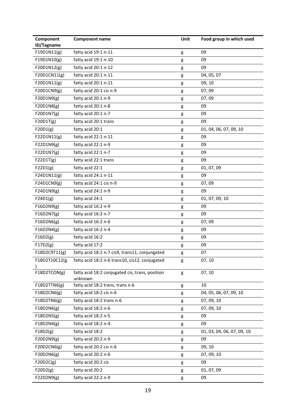| Component<br>ID/Tagname | <b>Component name</b>                                      | Unit | Food group in which used   |
|-------------------------|------------------------------------------------------------|------|----------------------------|
| F19D1N11(g)             | fatty acid 19:1 n-11                                       | g    | 09                         |
| F19D1N10(g)             | fatty acid 19:1 n-10                                       | g    | 09                         |
| F20D1N12(g)             | fatty acid 20:1 n-12                                       | g    | 09                         |
| F20D1CN11(g)            | fatty acid 20:1 n-11                                       | g    | 04, 05, 07                 |
| F20D1N11(g)             | fatty acid 20:1 n-11                                       | g    | 09, 10                     |
| F20D1CN9(g)             | fatty acid 20:1 cis n-9                                    | g    | 07,09                      |
| F20D1N9(g)              | fatty acid 20:1 n-9                                        | g    | 07,09                      |
| F20D1N8(g)              | fatty acid 20:1 n-8                                        | g    | 09                         |
| F20D1N7(g)              | fatty acid 20:1 n-7                                        | g    | 09                         |
| F20D1T(g)               | fatty acid 20:1 trans                                      | g    | 09                         |
| F20D1(g)                | fatty acid 20:1                                            | g    | 01, 04, 06, 07, 09, 10     |
| F22D1N11(g)             | fatty acid 22:1 n-11                                       | g    | 09                         |
| F22D1N9(g)              | fatty acid 22:1 n-9                                        | g    | 09                         |
| F22D1N7(g)              | fatty acid 22:1 n-7                                        | g    | 09                         |
| F22D1T(g)               | fatty acid 22:1 trans                                      | g    | 09                         |
| F22D1(g)                | fatty acid 22:1                                            | g    | 01, 07, 09                 |
| F24D1N11(g)             | fatty acid 24:1 n-11                                       | g    | 09                         |
| F24D1CN9(g)             | fatty acid 24:1 cis n-9                                    | g    | 07,09                      |
| F24D1N9(g)              | fatty acid 24:1 n-9                                        | g    | 09                         |
| F24D1(g)                | fatty acid 24:1                                            | g    | 01, 07, 09, 10             |
| F16D2N9(g)              | fatty acid 16:2 n-9                                        | g    | 09                         |
| F16D2N7(g)              | fatty acid 16:2 n-7                                        | g    | 09                         |
| F16D2N6(g)              | fatty acid 16:2 n-6                                        | g    | 07,09                      |
| F16D2N4(g)              | fatty acid 16:2 n-4                                        | g    | 09                         |
| F16D2(g)                | fatty acid 16:2                                            | g    | 09                         |
| F17D2(g)                | fatty acid 17:2                                            | g    | 09                         |
| F18D2C9T11(g)           | fatty acid 18:2 n-7 cis9, trans11, conjungated             | g    | 07                         |
| F18D2T10C12(g           | fatty acid 18:2 n-6 trans10, cis12, conjugated             | g    | 07, 10                     |
| F18D2TCON(g)            | fatty acid 18:2 conjugated cis, trans, position<br>unknown | g    | 07, 10                     |
| F18D2TTN6(g)            | fatty acid 18:2 trans, trans n-6                           | g    | 10                         |
| F18D2CN6(g)             | fatty acid 18:2 cis n-6                                    | g    | 04, 05, 06, 07, 09, 10     |
| F18D2TN6(g)             | fatty acid 18:2 trans n-6                                  | g    | 07, 09, 10                 |
| F18D2N6(g)              | fatty acid 18:2 n-6                                        | g    | 07, 09, 10                 |
| F18D2N5(g)              | fatty acid 18:2 n-5                                        | g    | 09                         |
| F18D2N4(g)              | fatty acid 18:2 n-4                                        | g    | 09                         |
| F18D2(g)                | fatty acid 18:2                                            | g    | 01, 03, 04, 06, 07, 09, 10 |
| F20D2N9(g)              | fatty acid 20:2 n-9                                        | g    | 09                         |
| F20D2CN6(g)             | fatty acid 20:2 cis n-6                                    | g    | 09, 10                     |
| F20D2N6(g)              | fatty acid 20:2 n-6                                        | g    | 07, 09, 10                 |
| F20D2C(g)               | fatty acid 20:2 cis                                        | g    | 09                         |
| F20D2(g)                | fatty acid 20:2                                            | g    | 01, 07, 09                 |
| F22D2N9(g)              | fatty acid 22:2 n-9                                        | g    | 09                         |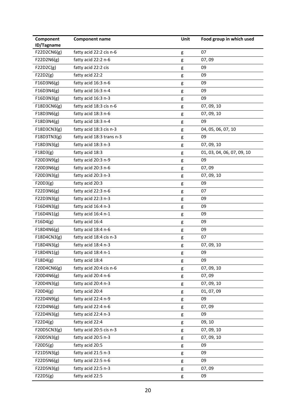| Component<br>ID/Tagname | <b>Component name</b>     | Unit | Food group in which used   |
|-------------------------|---------------------------|------|----------------------------|
| F22D2CN6(g)             | fatty acid 22:2 cis n-6   | g    | 07                         |
| F22D2N6(g)              | fatty acid 22:2 n-6       | g    | 07,09                      |
| F22D2C(g)               | fatty acid 22:2 cis       | g    | 09                         |
| F22D2(g)                | fatty acid 22:2           | g    | 09                         |
| F16D3N6(g)              | fatty acid 16:3 n-6       | g    | 09                         |
| F16D3N4(g)              | fatty acid 16:3 n-4       | g    | 09                         |
| F16D3N3(g)              | fatty acid 16:3 n-3       | g    | 09                         |
| F18D3CN6(g)             | fatty acid 18:3 cis n-6   | g    | 07, 09, 10                 |
| F18D3N6(g)              | fatty acid 18:3 n-6       | g    | 07, 09, 10                 |
| F18D3N4(g)              | fatty acid 18:3 n-4       | g    | 09                         |
| F18D3CN3(g)             | fatty acid 18:3 cis n-3   | g    | 04, 05, 06, 07, 10         |
| F18D3TN3(g)             | fatty acid 18:3 trans n-3 | g    | 09                         |
| F18D3N3(g)              | fatty acid 18:3 n-3       | g    | 07, 09, 10                 |
| F18D3(g)                | fatty acid 18:3           | g    | 01, 03, 04, 06, 07, 09, 10 |
| F20D3N9(g)              | fatty acid 20:3 n-9       | g    | 09                         |
| F20D3N6(g)              | fatty acid 20:3 n-6       | g    | 07,09                      |
| F20D3N3(g)              | fatty acid 20:3 n-3       | g    | 07, 09, 10                 |
| F20D3(g)                | fatty acid 20:3           | g    | 09                         |
| F22D3N6(g)              | fatty acid 22:3 n-6       | g    | 07                         |
| F22D3N3(g)              | fatty acid 22:3 n-3       | g    | 09                         |
| F16D4N3(g)              | fatty acid 16:4 n-3       | g    | 09                         |
| F16D4N1(g)              | fatty acid 16:4 n-1       | g    | 09                         |
| F16D4(g)                | fatty acid 16:4           | g    | 09                         |
| F18D4N6(g)              | fatty acid 18:4 n-6       | g    | 09                         |
| F18D4CN3(g)             | fatty acid 18:4 cis n-3   | g    | 07                         |
| F18D4N3(g)              | fatty acid 18:4 n-3       | g    | 07, 09, 10                 |
| F18D4N1(g)              | fatty acid 18:4 n-1       | g    | 09                         |
| F18D4(g)                | fatty acid 18:4           | g    | 09                         |
| F20D4CN6(g)             | fatty acid 20:4 cis n-6   | g    | 07, 09, 10                 |
| F20D4N6(g)              | fatty acid 20:4 n-6       | g    | 07,09                      |
| F20D4N3(g)              | fatty acid 20:4 n-3       | g    | 07, 09, 10                 |
| F20D4(g)                | fatty acid 20:4           | g    | 01, 07, 09                 |
| F22D4N9(g)              | fatty acid 22:4 n-9       | g    | 09                         |
| F22D4N6(g)              | fatty acid 22:4 n-6       | g    | 07,09                      |
| F22D4N3(g)              | fatty acid 22:4 n-3       | g    | 09                         |
| F22D4(g)                | fatty acid 22:4           | g    | 09, 10                     |
| F20D5CN3(g)             | fatty acid 20:5 cis n-3   | g    | 07, 09, 10                 |
| F20D5N3(g)              | fatty acid 20:5 n-3       | g    | 07, 09, 10                 |
| F20D5(g)                | fatty acid 20:5           | g    | 09                         |
| F21D5N3(g)              | fatty acid 21:5 n-3       | g    | 09                         |
| F22D5N6(g)              | fatty acid 22:5 n-6       | g    | 09                         |
| F22D5N3(g)              | fatty acid 22:5 n-3       | g    | 07,09                      |
| F22D5(g)                | fatty acid 22:5           | g    | 09                         |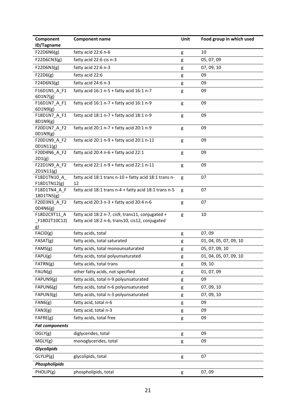| Component<br>ID/Tagname    | <b>Component name</b>                                 | Unit | Food group in which used |
|----------------------------|-------------------------------------------------------|------|--------------------------|
| F22D6N6(g)                 | fatty acid 22:6 n-6                                   | g    | 10                       |
| F22D6CN3(g)                | fatty acid 22:6 cis n-3                               | g    | 05, 07, 09               |
| F22D6N3(g)                 | fatty acid 22:6 n-3                                   | g    | 07, 09, 10               |
| F22D6(g)                   | fatty acid 22:6                                       | g    | 09                       |
| F24D6N3(g)                 | fatty acid 24:6 n-3                                   | g    | 09                       |
| F16D1N5_A_F1               | fatty acid $16:1 n-5 +$ fatty acid $16:1 n-7$         | g    | 09                       |
| 6D1N7(g)                   |                                                       |      |                          |
| F16D1N7_A_F1               | fatty acid 16:1 n-7 + fatty acid 16:1 n-9             | g    | 09                       |
| 6D1N9(g)                   |                                                       |      |                          |
| F18D1N7_A_F1<br>8D1N9(g)   | fatty acid 18:1 n-7 + fatty acid 18:1 n-9             | g    | 09                       |
| F20D1N7_A_F2               | fatty acid 20:1 n-7 + fatty acid 20:1 n-9             | g    | 09                       |
| OD1N9(g)                   |                                                       |      |                          |
| F20D1N9_A_F2               | fatty acid 20:1 n-9 + fatty acid 20:1 n-11            | g    | 09                       |
| 0D1N11(g)                  |                                                       |      |                          |
| F20D4N6_A_F2<br>2D1(g)     | fatty acid 20:4 n-6 + fatty acid 22:1                 | g    | 09                       |
| F22D1N9_A_F2               | fatty acid 22:1 n-9 + fatty acid 22:1 n-11            | g    | 09                       |
| 2D1N11(g)                  |                                                       |      |                          |
| F18D1TN10 A                | fatty acid 18:1 trans n-10 + fatty acid 18:1 trans n- | g    | 07                       |
| F18D1TN12(g)               | 12                                                    |      |                          |
| F18D1TN4_A_F               | fatty acid 18:1 trans n-4 + fatty acid 18:1 trans n-5 | g    | 07                       |
| 18D1TN5(g)<br>F20D3N3_A_F2 | fatty acid 20:3 n-3 + fatty acid 20:4 n-6             | g    | 07                       |
| OD4N6(g)                   |                                                       |      |                          |
| F18D2C9T11 A               | fatty acid 18:2 n-7, cis9, trans11, conjugated +      | g    | 10                       |
| _F18D2T10C12(              | fatty acid 18:2 n-6, trans10, cis12, conjugated       |      |                          |
| g)                         |                                                       |      |                          |
| FACID(g)                   | fatty acids, total                                    | g    | 07,09                    |
| FAST(g)                    | fatty acids, total saturated                          | g    | 01, 04, 05, 07, 09, 10   |
| FAMS(g)                    | fatty acids, total monounsaturated                    | g    | 05, 07, 09, 10           |
| FAPU(g)                    | fatty acids, total polyunsaturated                    | g    | 01, 04, 05, 07, 09, 10   |
| FATRN(g)                   | fatty acids, total trans                              | g    | 09, 10                   |
| FAUN(g)                    | other fatty acids, not specified                      | g    | 01, 07, 09               |
| FAPUN9(g)                  | fatty acids, total n-9 polyunsaturated                | g    | 09                       |
| FAPUN6(g)                  | fatty acids, total n-6 polyunsaturated                | g    | 07, 09, 10               |
| FAPUN3(g)                  | fatty acids, total n-3 polyunsaturated                | g    | 07, 09, 10               |
| FAN6(g)                    | fatty acid, total n-6                                 | g    | 09                       |
| FAN3(g)                    | fatty acid, total n-3                                 | g    | 09                       |
| FAFRE(g)                   | fatty acids, total free                               | g    | 09                       |
| <b>Fat components</b>      |                                                       |      |                          |
| DGLY(g)                    | diglycerides, total                                   | g    | 09                       |
| MGLY(g)                    | monoglycerides, total                                 | g    | 09                       |
| <b>Glycolipids</b>         |                                                       |      |                          |
| GLYLIP(g)                  | glycolipids, total                                    | g    | 07                       |
| Phospholipids              |                                                       |      |                          |
| PHOLIP(g)                  | phospholipids, total                                  |      | 07,09                    |
|                            |                                                       | g    |                          |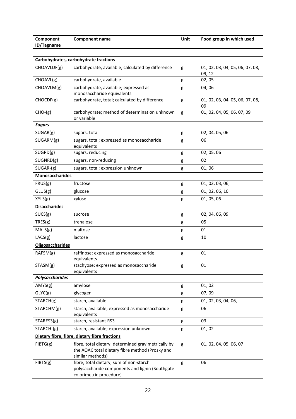| Component<br>ID/Tagname | <b>Component name</b>                                                                                                      | Unit | Food group in which used                  |
|-------------------------|----------------------------------------------------------------------------------------------------------------------------|------|-------------------------------------------|
|                         |                                                                                                                            |      |                                           |
|                         | Carbohydrates, carbohydrate fractions                                                                                      |      |                                           |
| CHOAVLDF(g)             | carbohydrate, available; calculated by difference                                                                          | g    | 01, 02, 03, 04, 05, 06, 07, 08,<br>09, 12 |
| CHOAVL(g)               | carbohydrate, available                                                                                                    | g    | 02,05                                     |
| CHOAVLM(g)              | carbohydrate, available; expressed as<br>monosaccharide equivalents                                                        | g    | 04,06                                     |
| CHOCDF(g)               | carbohydrate, total; calculated by difference                                                                              | g    | 01, 02, 03, 04, 05, 06, 07, 08,<br>09     |
| $CHO-(g)$               | carbohydrate; method of determination unknown<br>or variable                                                               | g    | 01, 02, 04, 05, 06, 07, 09                |
| <b>Sugars</b>           |                                                                                                                            |      |                                           |
| SUGAR(g)                | sugars, total                                                                                                              | g    | 02, 04, 05, 06                            |
| SUGARM(g)               | sugars, total; expressed as monosaccharide<br>equivalents                                                                  | g    | 06                                        |
| SUGRD(g)                | sugars, reducing                                                                                                           | g    | 02, 05, 06                                |
| SUGNRD(g)               | sugars, non-reducing                                                                                                       | g    | 02                                        |
| $SUGAR-(g)$             | sugars, total; expression unknown                                                                                          | g    | 01,06                                     |
| <b>Monosaccharides</b>  |                                                                                                                            |      |                                           |
| FRUS(g)                 | fructose                                                                                                                   | g    | 01, 02, 03, 06,                           |
| GLUS(g)                 | glucose                                                                                                                    | g    | 01, 02, 06, 10                            |
| XYLS(g)                 | xylose                                                                                                                     | g    | 01, 05, 06                                |
| <b>Disaccharides</b>    |                                                                                                                            |      |                                           |
| SUCS(g)                 | sucrose                                                                                                                    | g    | 02, 04, 06, 09                            |
| TRES(g)                 | trehalose                                                                                                                  | g    | 05                                        |
| MALS(g)                 | maltose                                                                                                                    | g    | 01                                        |
| LACS(g)                 | lactose                                                                                                                    | g    | 10                                        |
| <b>Oligosaccharides</b> |                                                                                                                            |      |                                           |
| RAFSM(g)                | raffinose; expressed as monosaccharide<br>equivalents                                                                      | g    | 01                                        |
| STASM(g)                | stachyose; expressed as monosaccharide<br>equivalents                                                                      | g    | 01                                        |
| <b>Polysaccharides</b>  |                                                                                                                            |      |                                           |
| AMYS(g)                 | amylose                                                                                                                    | g    | 01, 02                                    |
| GLYC(g)                 | glycogen                                                                                                                   | g    | 07,09                                     |
| STARCH(g)               | starch, available                                                                                                          | g    | 01, 02, 03, 04, 06,                       |
| STARCHM(g)              | starch, available; expressed as monosaccharide<br>equivalents                                                              | g    | 06                                        |
| STARES3(g)              | starch, resistant RS3                                                                                                      | g    | 03                                        |
| STARCH-(g)              | starch, available; expression unknown                                                                                      | g    | 01, 02                                    |
|                         | Dietary fibre, fibre, dietary fibre fractions                                                                              |      |                                           |
| FIBTG(g)                | fibre, total dietary; determined gravimetrically by<br>the AOAC total dietary fibre method (Prosky and<br>similar methods) | g    | 01, 02, 04, 05, 06, 07                    |
| FIBTS(g)                | fibre, total dietary; sum of non-starch<br>polysaccharide components and lignin (Southgate<br>colorimetric procedure)      | g    | 06                                        |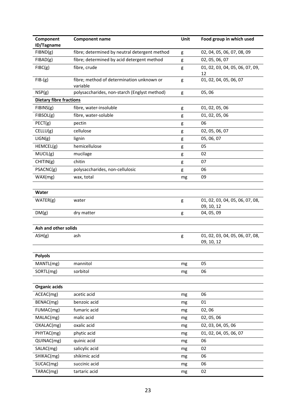| Component<br>ID/Tagname        | <b>Component name</b>                                 | Unit | Food group in which used                      |
|--------------------------------|-------------------------------------------------------|------|-----------------------------------------------|
| FIBND(g)                       | fibre; determined by neutral detergent method         | g    | 02, 04, 05, 06, 07, 08, 09                    |
| FIBAD(g)                       | fibre; determined by acid detergent method            | g    | 02, 05, 06, 07                                |
| $F\,BC(g)$                     | fibre, crude                                          | g    | 01, 02, 03, 04, 05, 06, 07, 09,<br>12         |
| $FIB-(g)$                      | fibre; method of determination unknown or<br>variable | g    | 01, 02, 04, 05, 06, 07                        |
| NSP(g)                         | polysaccharides, non-starch (Englyst method)          | g    | 05,06                                         |
| <b>Dietary fibre fractions</b> |                                                       |      |                                               |
| FIBINS(g)                      | fibre, water-insoluble                                | g    | 01, 02, 05, 06                                |
| FIBSOL(g)                      | fibre, water-soluble                                  | g    | 01, 02, 05, 06                                |
| PECT(g)                        | pectin                                                | g    | 06                                            |
| CELLU(g)                       | cellulose                                             | g    | 02, 05, 06, 07                                |
| LIGN(g)                        | lignin                                                | g    | 05, 06, 07                                    |
| HEMCEL(g)                      | hemicellulose                                         | g    | 05                                            |
| MUCIL(g)                       | mucilage                                              | g    | 02                                            |
| CHITIN(g)                      | chitin                                                | g    | 07                                            |
| PSACNC(g)                      | polysaccharides, non-cellulosic                       | g    | 06                                            |
| WAX(mg)                        | wax, total                                            | mg   | 09                                            |
|                                |                                                       |      |                                               |
| Water                          |                                                       |      |                                               |
| WATER(g)                       | water                                                 | g    | 01, 02, 03, 04, 05, 06, 07, 08,               |
|                                |                                                       |      | 09, 10, 12                                    |
| DM(g)                          | dry matter                                            | g    | 04, 05, 09                                    |
|                                |                                                       |      |                                               |
| Ash and other solids           |                                                       |      |                                               |
| ASH(g)                         | ash                                                   | g    | 01, 02, 03, 04, 05, 06, 07, 08,<br>09, 10, 12 |
|                                |                                                       |      |                                               |
| <b>Polyols</b>                 |                                                       |      |                                               |
| MANTL(mg)                      | mannitol                                              | mg   | 05                                            |
| SORTL(mg)                      | sorbitol                                              | mg   | 06                                            |
|                                |                                                       |      |                                               |
| <b>Organic acids</b>           |                                                       |      |                                               |
| ACEAC(mg)                      | acetic acid                                           | mg   | 06                                            |
| BENAC(mg)                      | benzoic acid                                          | mg   | 01                                            |
| FUMAC(mg)                      | fumaric acid                                          | mg   | 02,06                                         |
| MALAC(mg)                      | malic acid                                            | mg   | 02, 05, 06                                    |
| OXALAC(mg)                     | oxalic acid                                           | mg   | 02, 03, 04, 05, 06                            |
| PHYTAC(mg)                     | phytic acid                                           | mg   | 01, 02, 04, 05, 06, 07                        |
| QUINAC(mg)                     | quinic acid                                           | mg   | 06                                            |
| SALAC(mg)                      | salicylic acid                                        | mg   | 02                                            |
| SHIKAC(mg)                     | shikimic acid                                         | mg   | 06                                            |
| SUCAC(mg)                      | succinic acid                                         | mg   | 06                                            |
| TARAC(mg)                      | tartaric acid                                         | mg   | 02                                            |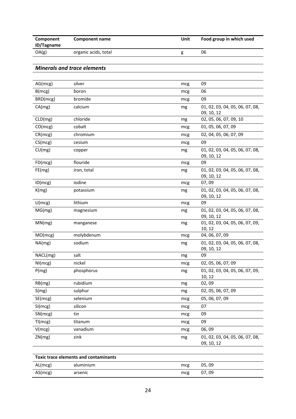| Component<br>ID/Tagname | Component name       | Unit | Food group in which used |
|-------------------------|----------------------|------|--------------------------|
| OA(g)                   | organic acids, total |      | 06                       |

#### *Minerals and trace elements*

| AG(mcg)  | silver      | mcg | 09                                            |
|----------|-------------|-----|-----------------------------------------------|
| B(mcg)   | boron       | mcg | 06                                            |
| BRD(mcg) | bromide     | mcg | 09                                            |
| CA(mg)   | calcium     | mg  | 01, 02, 03, 04, 05, 06, 07, 08,<br>09, 10, 12 |
| CLD(mg)  | chloride    | mg  | 02, 05, 06, 07, 09, 10                        |
| CO(mcg)  | cobalt      | mcg | 01, 05, 06, 07, 09                            |
| CR(mcg)  | chromium    | mcg | 02, 04, 05, 06, 07, 09                        |
| CS(mcg)  | cesium      | mcg | 09                                            |
| CU(mg)   | copper      | mg  | 01, 02, 03, 04, 05, 06, 07, 08,<br>09, 10, 12 |
| FD(mcg)  | flouride    | mcg | 09                                            |
| FE(mg)   | iron, total | mg  | 01, 02, 03, 04, 05, 06, 07, 08,<br>09, 10, 12 |
| ID(mcg)  | iodine      | mcg | 07,09                                         |
| K(mg)    | potassium   | mg  | 01, 02, 03, 04, 05, 06, 07, 08,<br>09, 10, 12 |
| LI(mcg)  | lithium     | mcg | 09                                            |
| MG(mg)   | magnesium   | mg  | 01, 02, 03, 04, 05, 06, 07, 08,<br>09, 10, 12 |
| MN(mg)   | manganese   | mg  | 01, 02, 03, 04, 05, 06, 07, 09,<br>10, 12     |
| MO(mcg)  | molybdenum  | mcg | 04, 06, 07, 09                                |
| NA(mg)   | sodium      | mg  | 01, 02, 03, 04, 05, 06, 07, 08,<br>09, 10, 12 |
| NACL(mg) | salt        | mg  | 09                                            |
| NI(mcg)  | nickel      | mcg | 02, 05, 06, 07, 09                            |
| P(mg)    | phosphorus  | mg  | 01, 02, 03, 04, 05, 06, 07, 09,<br>10, 12     |
| RB(mg)   | rubidium    | mg  | 02,09                                         |
| S(mg)    | sulphur     | mg  | 02, 05, 06, 07, 09                            |
| SE(mcg)  | selenium    | mcg | 05, 06, 07, 09                                |
| SI(mcg)  | silicon     | mcg | 07                                            |
| SN(mcg)  | tin         | mcg | 09                                            |
| TI(mcg)  | titanum     | mcg | 09                                            |
| V(mcg)   | vanadium    | mcg | 06,09                                         |
| ZN(mg)   | zink        | mg  | 01, 02, 03, 04, 05, 06, 07, 08,<br>09, 10, 12 |

| AL(mcg) | aluminium | mcg | 05,09 |  |
|---------|-----------|-----|-------|--|
| AS(mcg) | arsenic   | mcg | 07,09 |  |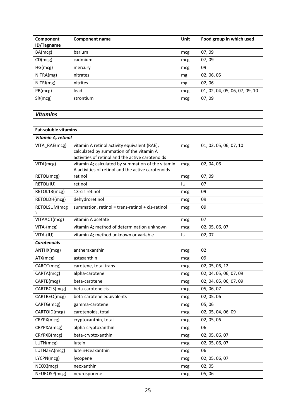| Component<br><b>ID/Tagname</b> | Component name | Unit | Food group in which used       |
|--------------------------------|----------------|------|--------------------------------|
| BA(mcg)                        | barium         | mcg  | 07,09                          |
| CD(mcg)                        | cadmium        | mcg  | 07,09                          |
| HG(mcg)                        | mercury        | mcg  | 09                             |
| NITRA(mg)                      | nitrates       | mg   | 02, 06, 05                     |
| NITRI(mg)                      | nitrites       | mg   | 02,06                          |
| PB(mcg)                        | lead           | mcg  | 01, 02, 04, 05, 06, 07, 09, 10 |
| SR(mcg)                        | strontium      | mcg  | 07,09                          |
|                                |                |      |                                |

### *Vitamins*

| <b>Fat-soluble vitamins</b> |                                                                                                                                              |     |                        |  |  |
|-----------------------------|----------------------------------------------------------------------------------------------------------------------------------------------|-----|------------------------|--|--|
| Vitamin A, retinol          |                                                                                                                                              |     |                        |  |  |
| VITA_RAE(mcg)               | vitamin A retinol activity equivalent (RAE);<br>calculated by summation of the vitamin A<br>activities of retinol and the active carotenoids | mcg | 01, 02, 05, 06, 07, 10 |  |  |
| VITA(mcg)                   | vitamin A; calculated by summation of the vitamin<br>A activities of retinol and the active carotenoids                                      | mcg | 02, 04, 06             |  |  |
| RETOL(mcg)                  | retinol                                                                                                                                      | mcg | 07,09                  |  |  |
| RETOL(IU)                   | retinol                                                                                                                                      | IU  | 07                     |  |  |
| RETOL13(mcg)                | 13-cis retinol                                                                                                                               | mcg | 09                     |  |  |
| RETOLDH(mcg)                | dehydroretinol                                                                                                                               | mcg | 09                     |  |  |
| RETOLSUM(mcg                | summation, retinol = trans-retinol + cis-retinol                                                                                             | mcg | 09                     |  |  |
| VITAACT(mcg)                | vitamin A acetate                                                                                                                            | mcg | 07                     |  |  |
| VITA-(mcg)                  | vitamin A; method of determination unknown                                                                                                   | mcg | 02, 05, 06, 07         |  |  |
| VITA-(IU)                   | vitamin A; method unknown or variable                                                                                                        | IU  | 02, 07                 |  |  |
| <b>Carotenoids</b>          |                                                                                                                                              |     |                        |  |  |
| ANTHX(mcg)                  | antheraxanthin                                                                                                                               | mcg | 02                     |  |  |
| ATX(mcg)                    | astaxanthin                                                                                                                                  | mcg | 09                     |  |  |
| CAROT(mcg)                  | carotene, total trans                                                                                                                        | mcg | 02, 05, 06, 12         |  |  |
| CARTA(mcg)                  | alpha-carotene                                                                                                                               | mcg | 02, 04, 05, 06, 07, 09 |  |  |
| CARTB(mcg)                  | beta-carotene                                                                                                                                | mcg | 02, 04, 05, 06, 07, 09 |  |  |
| CARTBCIS(mcg)               | beta-carotene cis                                                                                                                            | mcg | 05, 06, 07             |  |  |
| CARTBEQ(mcg)                | beta-carotene equivalents                                                                                                                    | mcg | 02, 05, 06             |  |  |
| CARTG(mcg)                  | gamma-carotene                                                                                                                               | mcg | 05,06                  |  |  |
| CARTOID(mcg)                | carotenoids, total                                                                                                                           | mcg | 02, 05, 04, 06, 09     |  |  |
| CRYPX(mcg)                  | cryptoxanthin, total                                                                                                                         | mcg | 02, 05, 06             |  |  |
| CRYPXA(mcg)                 | alpha-cryptoxanthin                                                                                                                          | mcg | 06                     |  |  |
| CRYPXB(mcg)                 | beta-cryptoxanthin                                                                                                                           | mcg | 02, 05, 06, 07         |  |  |
| LUTN(mcg)                   | lutein                                                                                                                                       | mcg | 02, 05, 06, 07         |  |  |
| LUTNZEA(mcg)                | lutein+zeaxanthin                                                                                                                            | mcg | 06                     |  |  |
| LYCPN(mcg)                  | lycopene                                                                                                                                     | mcg | 02, 05, 06, 07         |  |  |
| NEOX(mcg)                   | neoxanthin                                                                                                                                   | mcg | 02,05                  |  |  |
| NEUROSP(mcg)                | neurosporene                                                                                                                                 | mcg | 05,06                  |  |  |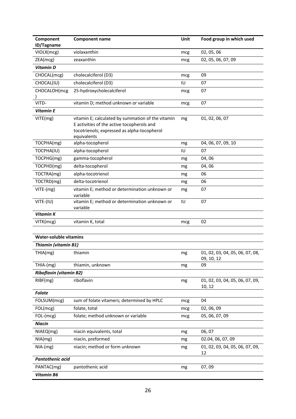| Component<br>ID/Tagname        | <b>Component name</b>                                                                                                                                         | Unit | Food group in which used                      |
|--------------------------------|---------------------------------------------------------------------------------------------------------------------------------------------------------------|------|-----------------------------------------------|
| VIOLX(mcg)                     | violaxanthin                                                                                                                                                  | mcg  | 02, 05, 06                                    |
| ZEA(mcg)                       | zeaxanthin                                                                                                                                                    | mcg  | 02, 05, 06, 07, 09                            |
| <b>Vitamin D</b>               |                                                                                                                                                               |      |                                               |
| CHOCAL(mcg)                    | cholecalciferol (D3)                                                                                                                                          | mcg  | 09                                            |
| CHOCAL(IU)                     | cholecalciferol (D3)                                                                                                                                          | IU   | 07                                            |
| CHOCALOH(mcg                   | 25-hydroxycholecalciferol                                                                                                                                     | mcg  | 07                                            |
|                                |                                                                                                                                                               |      |                                               |
| VITD-                          | vitamin D; method unknown or variable                                                                                                                         | mcg  | 07                                            |
| <b>Vitamin E</b>               |                                                                                                                                                               |      |                                               |
| VITE(mg)                       | vitamin E; calculated by summation of the vitamin<br>E activities of the active tocopherols and<br>tocotrienols; expressed as alpha-tocopherol<br>equivalents | mg   | 01, 02, 06, 07                                |
| TOCPHA(mg)                     | alpha-tocopherol                                                                                                                                              | mg   | 04, 06, 07, 09, 10                            |
| TOCPHA(IU)                     | alpha-tocopherol                                                                                                                                              | IU   | 07                                            |
| TOCPHG(mg)                     | gamma-tocopherol                                                                                                                                              | mg   | 04,06                                         |
| TOCPHD(mg)                     | delta-tocopherol                                                                                                                                              | mg   | 04,06                                         |
| TOCTRA(mg)                     | alpha-tocotrienol                                                                                                                                             | mg   | 06                                            |
| TOCTRD(mg)                     | delta-tocotrienol                                                                                                                                             | mg   | 06                                            |
| VITE-(mg)                      | vitamin E; method or determination unknown or<br>variable                                                                                                     | mg   | 07                                            |
| VITE-(IU)                      | vitamin E; method or determination unknown or<br>variable                                                                                                     | IU   | 07                                            |
| <b>Vitamin K</b>               |                                                                                                                                                               |      |                                               |
| VITK(mcg)                      | vitamin K, total                                                                                                                                              | mcg  | 02                                            |
|                                |                                                                                                                                                               |      |                                               |
| <b>Water-soluble vitamins</b>  |                                                                                                                                                               |      |                                               |
| <b>Thiamin (vitamin B1)</b>    |                                                                                                                                                               |      |                                               |
| THIA(mg)                       | thiamin                                                                                                                                                       | mg   | 01, 02, 03, 04, 05, 06, 07, 08,<br>09, 10, 12 |
| THIA-(mg)                      | thiamin, unknown                                                                                                                                              | mg   | 09                                            |
| <b>Riboflavin (vitamin B2)</b> |                                                                                                                                                               |      |                                               |
| RIBF(mg)                       | riboflavin                                                                                                                                                    | mg   | 01, 02, 03, 04, 05, 06, 07, 09,<br>10, 12     |
| <b>Folate</b>                  |                                                                                                                                                               |      |                                               |
| FOLSUM(mcg)                    | sum of folate vitamers; determined by HPLC                                                                                                                    | mcg  | 04                                            |
| FOL(mcg)                       | folate, total                                                                                                                                                 | mcg  | 02, 06, 09                                    |
| FOL-(mcg)                      | folate; method unknown or variable                                                                                                                            | mcg  | 05, 06, 07, 09                                |
| <b>Niacin</b>                  |                                                                                                                                                               |      |                                               |
| NIAEQ(mg)                      | niacin equivalents, total                                                                                                                                     | mg   | 06,07                                         |
| NIA(mg)                        | niacin, preformed                                                                                                                                             | mg   | 02.04, 06, 07, 09                             |
| $NIA-(mg)$                     | niacin; method or form unknown                                                                                                                                | mg   | 01, 02, 03, 04, 05, 06, 07, 09,<br>12         |
| Pantothenic acid               |                                                                                                                                                               |      |                                               |
| PANTAC(mg)                     | pantothenic acid                                                                                                                                              | mg   | 07,09                                         |
| <b>Vitamin B6</b>              |                                                                                                                                                               |      |                                               |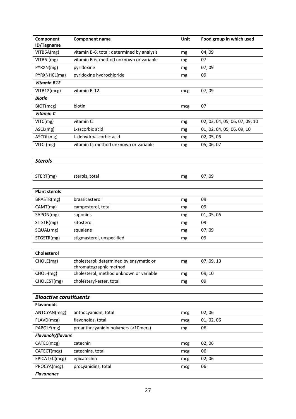| Component                     | <b>Component name</b>                      | Unit | Food group in which used       |
|-------------------------------|--------------------------------------------|------|--------------------------------|
| ID/Tagname                    |                                            |      |                                |
| VITB6A(mg)                    | vitamin B-6, total; determined by analysis | mg   | 04,09                          |
| VITB6-(mg)                    | vitamin B-6, method unknown or variable    | mg   | 07                             |
| PYRXN(mg)                     | pyridoxine                                 | mg   | 07,09                          |
| PYRXNHCL(mg)                  | pyridoxine hydrochloride                   | mg   | 09                             |
| <b>Vitamin B12</b>            |                                            |      |                                |
| VITB12(mcg)                   | vitamin B-12                               | mcg  | 07,09                          |
| <b>Biotin</b>                 |                                            |      |                                |
| BIOT(mcg)                     | biotin                                     | mcg  | 07                             |
| Vitamin C                     |                                            |      |                                |
| VITC(mg)                      | vitamin C                                  | mg   | 02, 03, 04, 05, 06, 07, 09, 10 |
| ASCL(mg)                      | L-ascorbic acid                            | mg   | 01, 02, 04, 05, 06, 09, 10     |
| ASCDL(mg)                     | L-dehydroascorbic acid                     | mg   | 02, 05, 06                     |
| VITC-(mg)                     | vitamin C; method unknown or variable      | mg   | 05, 06, 07                     |
|                               |                                            |      |                                |
| <b>Sterols</b>                |                                            |      |                                |
|                               |                                            |      |                                |
| STERT(mg)                     | sterols, total                             | mg   | 07,09                          |
|                               |                                            |      |                                |
| <b>Plant sterols</b>          |                                            |      |                                |
| BRASTR(mg)                    | brassicasterol                             | mg   | 09                             |
| CAMT(mg)                      | campesterol, total                         | mg   | 09                             |
| SAPON(mg)                     | saponins                                   | mg   | 01, 05, 06                     |
| SITSTR(mg)                    | sitosterol                                 | mg   | 09                             |
| SQUAL(mg)                     | squalene                                   | mg   | 07,09                          |
| STGSTR(mg)                    | stigmasterol, unspecified                  | mg   | 09                             |
|                               |                                            |      |                                |
| Cholesterol                   |                                            |      |                                |
| CHOLE(mg)                     | cholesterol; determined by enzymatic or    | mg   | 07, 09, 10                     |
|                               | chromatographic method                     |      |                                |
| CHOL-(mg)                     | cholesterol; method unknown or variable    | mg   | 09, 10                         |
| CHOLEST(mg)                   | cholesteryl-ester, total                   | mg   | 09                             |
|                               |                                            |      |                                |
| <b>Bioactive constituents</b> |                                            |      |                                |
| <b>Flavonoids</b>             |                                            |      |                                |
| ANTCYAN(mcg)                  | anthocyanidin, total                       | mcg  | 02,06                          |
| FLAVD(mcg)                    | flavonoids, total                          | mcg  | 01, 02, 06                     |
| PAPOLY(mg)                    | proanthocyanidin polymers (>10mers)        | mg   | 06                             |
| <b>Flavanols/flavans</b>      |                                            |      |                                |
| CATEC(mcg)                    | catechin                                   | mcg  | 02,06                          |
| CATECT(mcg)                   | catechins, total                           | mcg  | 06                             |
| EPICATEC(mcg)                 | epicatechin                                | mcg  | 02,06                          |
| PROCYA(mcg)                   | procyanidins, total                        | mcg  | 06                             |
| <b>Flavanones</b>             |                                            |      |                                |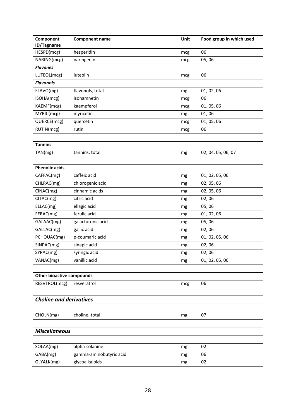| Component                        | <b>Component name</b>   | Unit | Food group in which used |
|----------------------------------|-------------------------|------|--------------------------|
| ID/Tagname                       |                         |      |                          |
| HESPD(mcg)                       | hesperidin              | mcg  | 06                       |
| NARING(mcg)                      | naringenin              | mcg  | 05,06                    |
| <b>Flavones</b>                  |                         |      |                          |
| LUTEOL(mcg)                      | luteolin                | mcg  | 06                       |
| <b>Flavonols</b>                 |                         |      |                          |
| FLAVO(mg)                        | flavonols, total        | mg   | 01, 02, 06               |
| ISOHA(mcg)                       | isohamnetin             | mcg  | 06                       |
| KAEMF(mcg)                       | kaempferol              | mcg  | 01, 05, 06               |
| MYRIC(mcg)                       | myricetin               | mg   | 01,06                    |
| QUERCE(mcg)                      | quercetin               | mcg  | 01, 05, 06               |
| RUTIN(mcg)                       | rutin                   | mcg  | 06                       |
|                                  |                         |      |                          |
| <b>Tannins</b>                   |                         |      |                          |
| TAN(mg)                          | tannins, total          | mg   | 02, 04, 05, 06, 07       |
|                                  |                         |      |                          |
| <b>Phenolic acids</b>            |                         |      |                          |
| CAFFAC(mg)                       | caffeic acid            | mg   | 01, 02, 05, 06           |
| CHLRAC(mg)                       | chlorogenic acid        | mg   | 02, 05, 06               |
| CINAC(mg)                        | cinnamic acids          | mg   | 02, 05, 06               |
| CITAC(mg)                        | citric acid             | mg   | 02,06                    |
| ELLAC(mg)                        | ellagic acid            | mg   | 05,06                    |
| FERAC(mg)                        | ferulic acid            | mg   | 01, 02, 06               |
| GALAAC(mg)                       | galacturonic acid       | mg   | 05,06                    |
| GALLAC(mg)                       | gallic acid             | mg   | 02,06                    |
| PCHOUAC(mg)                      | p-coumaric acid         | mg   | 01, 02, 05, 06           |
| SINPAC(mg)                       | sinapic acid            | mg   | 02,06                    |
| SYRAC(mg)                        | syringic acid           | mg   | 02,06                    |
| VANAC(mg)                        | vanillic acid           | mg   | 01, 02, 05, 06           |
|                                  |                         |      |                          |
| <b>Other bioactive compounds</b> |                         |      |                          |
| RESVTROL(mcg)                    | resveratrol             | mcg  | 06                       |
|                                  |                         |      |                          |
| <b>Choline and derivatives</b>   |                         |      |                          |
|                                  |                         |      |                          |
| CHOLN(mg)                        | choline, total          | mg   | 07                       |
|                                  |                         |      |                          |
| <b>Miscellaneous</b>             |                         |      |                          |
|                                  |                         |      |                          |
| SOLAA(mg)                        | alpha-solanine          | mg   | 02                       |
| GABA(mg)                         | gamma-aminobutyric acid | mg   | 06                       |
| GLYALK(mg)                       | glycoalkaloids          | mg   | 02                       |
|                                  |                         |      |                          |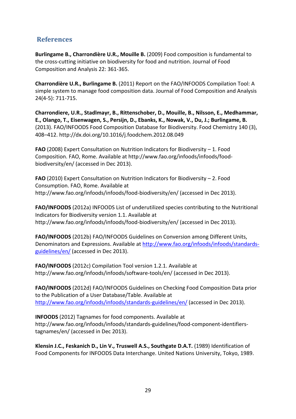## **References**

**Burlingame B., Charrondière U.R., Mouille B.** (2009) Food composition is fundamental to the cross‐cutting initiative on biodiversity for food and nutrition. Journal of Food Composition and Analysis 22: 361‐365.

**Charrondière U.R., Burlingame B.** (2011) Report on the FAO/INFOODS Compilation Tool: A simple system to manage food composition data. Journal of Food Composition and Analysis 24(4‐5): 711‐715.

**Charrondiere, U.R., Stadlmayr, B., Rittenschober, D., Mouille, B., Nilsson, E., Medhammar, E., Olango, T., Eisenwagen, S., Persijn, D., Ebanks, K., Nowak, V., Du, J.; Burlingame, B.** (2013). FAO/INFOODS Food Composition Database for Biodiversity. Food Chemistry 140 (3), 408–412. http://dx.doi.org/10.1016/j.foodchem.2012.08.049

**FAO** (2008) Expert Consultation on Nutrition Indicators for Biodiversity – 1. Food Composition. FAO, Rome. Available at http://www.fao.org/infoods/infoods/food‐ biodiversity/en/ (accessed in Dec 2013).

**FAO** (2010) Expert Consultation on Nutrition Indicators for Biodiversity – 2. Food Consumption. FAO, Rome. Available at http://www.fao.org/infoods/infoods/food‐biodiversity/en/ (accessed in Dec 2013).

**FAO/INFOODS** (2012a) INFOODS List of underutilized species contributing to the Nutritional Indicators for Biodiversity version 1.1. Available at http://www.fao.org/infoods/infoods/food‐biodiversity/en/ (accessed in Dec 2013).

**FAO/INFOODS** (2012b) FAO/INFOODS Guidelines on Conversion among Different Units, Denominators and Expressions. Available at http://www.fao.org/infoods/infoods/standards‐ guidelines/en/ (accessed in Dec 2013).

**FAO/INFOODS** (2012c) Compilation Tool version 1.2.1. Available at http://www.fao.org/infoods/infoods/software-tools/en/ (accessed in Dec 2013).

**FAO/INFOODS** (2012d) FAO/INFOODS Guidelines on Checking Food Composition Data prior to the Publication of a User Database/Table. Available at http://www.fao.org/infoods/infoods/standards‐guidelines/en/ (accessed in Dec 2013).

**INFOODS** (2012) Tagnames for food components. Available at http://www.fao.org/infoods/infoods/standards‐guidelines/food‐component‐identifiers‐ tagnames/en/ (accessed in Dec 2013).

**Klensin J.C., Feskanich D., Lin V., Truswell A.S., Southgate D.A.T.** (1989) Identification of Food Components for INFOODS Data Interchange. United Nations University, Tokyo, 1989.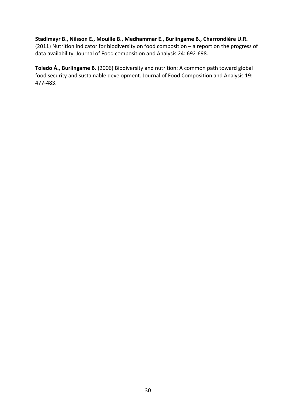#### **Stadlmayr B., Nilsson E., Mouille B., Medhammar E., Burlingame B., Charrondière U.R.**

(2011) Nutrition indicator for biodiversity on food composition – a report on the progress of data availability. Journal of Food composition and Analysis 24: 692‐698.

**Toledo Á., Burlingame B.** (2006) Biodiversity and nutrition: A common path toward global food security and sustainable development. Journal of Food Composition and Analysis 19: 477‐483.